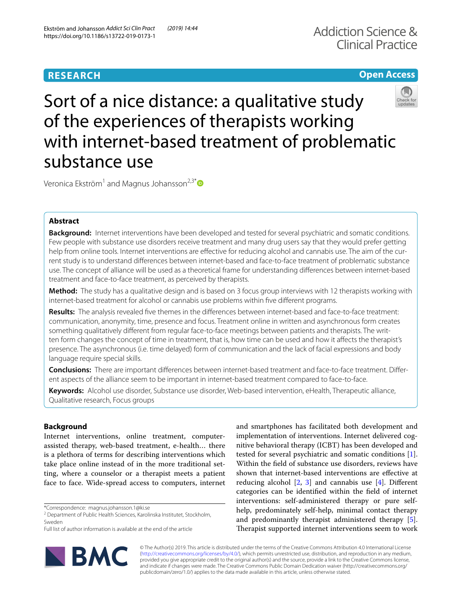# **RESEARCH**

# **Open Access**



# Sort of a nice distance: a qualitative study of the experiences of therapists working with internet-based treatment of problematic substance use

Veronica Ekström<sup>1</sup> and Magnus Johansson<sup>2,3[\\*](http://orcid.org/0000-0001-8583-2620)</sup>

## **Abstract**

**Background:** Internet interventions have been developed and tested for several psychiatric and somatic conditions. Few people with substance use disorders receive treatment and many drug users say that they would prefer getting help from online tools. Internet interventions are efective for reducing alcohol and cannabis use. The aim of the current study is to understand diferences between internet-based and face-to-face treatment of problematic substance use. The concept of alliance will be used as a theoretical frame for understanding diferences between internet-based treatment and face-to-face treatment, as perceived by therapists.

**Method:** The study has a qualitative design and is based on 3 focus group interviews with 12 therapists working with internet-based treatment for alcohol or cannabis use problems within fve diferent programs.

**Results:** The analysis revealed fve themes in the diferences between internet-based and face-to-face treatment: communication, anonymity, time, presence and focus. Treatment online in written and asynchronous form creates something qualitatively diferent from regular face-to-face meetings between patients and therapists. The written form changes the concept of time in treatment, that is, how time can be used and how it afects the therapist's presence. The asynchronous (i.e. time delayed) form of communication and the lack of facial expressions and body language require special skills.

**Conclusions:** There are important diferences between internet-based treatment and face-to-face treatment. Diferent aspects of the alliance seem to be important in internet-based treatment compared to face-to-face.

**Keywords:** Alcohol use disorder, Substance use disorder, Web-based intervention, eHealth, Therapeutic alliance, Qualitative research, Focus groups

### **Background**

Internet interventions, online treatment, computerassisted therapy, web-based treatment, e-health… there is a plethora of terms for describing interventions which take place online instead of in the more traditional setting, where a counselor or a therapist meets a patient face to face. Wide-spread access to computers, internet

\*Correspondence: magnus.johansson.1@ki.se

Full list of author information is available at the end of the article



and smartphones has facilitated both development and implementation of interventions. Internet delivered cognitive behavioral therapy (ICBT) has been developed and tested for several psychiatric and somatic conditions [\[1](#page-10-0)]. Within the feld of substance use disorders, reviews have shown that internet-based interventions are efective at reducing alcohol  $[2, 3]$  $[2, 3]$  $[2, 3]$  and cannabis use  $[4]$  $[4]$ . Different categories can be identifed within the feld of internet interventions: self-administered therapy or pure selfhelp, predominately self-help, minimal contact therapy and predominantly therapist administered therapy [\[5](#page-10-4)]. Therapist supported internet interventions seem to work

© The Author(s) 2019. This article is distributed under the terms of the Creative Commons Attribution 4.0 International License [\(http://creativecommons.org/licenses/by/4.0/\)](http://creativecommons.org/licenses/by/4.0/), which permits unrestricted use, distribution, and reproduction in any medium, provided you give appropriate credit to the original author(s) and the source, provide a link to the Creative Commons license, and indicate if changes were made. The Creative Commons Public Domain Dedication waiver (http://creativecommons.org/ publicdomain/zero/1.0/) applies to the data made available in this article, unless otherwise stated.

<sup>&</sup>lt;sup>2</sup> Department of Public Health Sciences, Karolinska Institutet, Stockholm, Sweden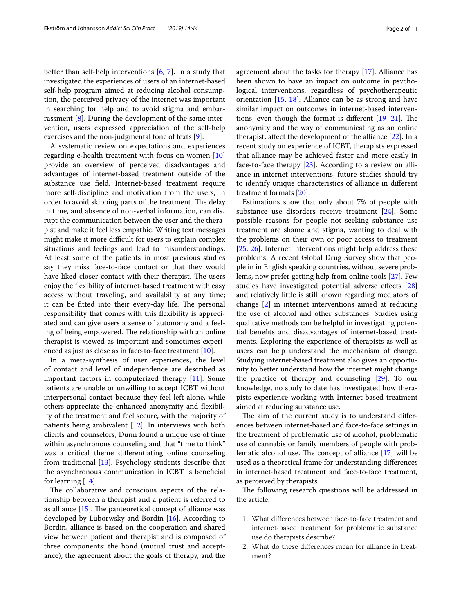better than self-help interventions [\[6](#page-10-5), [7\]](#page-10-6). In a study that investigated the experiences of users of an internet-based self-help program aimed at reducing alcohol consumption, the perceived privacy of the internet was important in searching for help and to avoid stigma and embarrassment [[8\]](#page-10-7). During the development of the same intervention, users expressed appreciation of the self-help exercises and the non-judgmental tone of texts [[9\]](#page-10-8).

A systematic review on expectations and experiences regarding e-health treatment with focus on women [[10](#page-10-9)] provide an overview of perceived disadvantages and advantages of internet-based treatment outside of the substance use feld. Internet-based treatment require more self-discipline and motivation from the users, in order to avoid skipping parts of the treatment. The delay in time, and absence of non-verbal information, can disrupt the communication between the user and the therapist and make it feel less empathic. Writing text messages might make it more difficult for users to explain complex situations and feelings and lead to misunderstandings. At least some of the patients in most previous studies say they miss face-to-face contact or that they would have liked closer contact with their therapist. The users enjoy the fexibility of internet-based treatment with easy access without traveling, and availability at any time; it can be fitted into their every-day life. The personal responsibility that comes with this fexibility is appreciated and can give users a sense of autonomy and a feeling of being empowered. The relationship with an online therapist is viewed as important and sometimes experienced as just as close as in face-to-face treatment [\[10\]](#page-10-9).

In a meta-synthesis of user experiences, the level of contact and level of independence are described as important factors in computerized therapy [[11\]](#page-10-10). Some patients are unable or unwilling to accept ICBT without interpersonal contact because they feel left alone, while others appreciate the enhanced anonymity and fexibility of the treatment and feel secure, with the majority of patients being ambivalent [[12](#page-10-11)]. In interviews with both clients and counselors, Dunn found a unique use of time within asynchronous counseling and that "time to think" was a critical theme diferentiating online counseling from traditional [[13\]](#page-10-12). Psychology students describe that the asynchronous communication in ICBT is benefcial for learning [[14\]](#page-10-13).

The collaborative and conscious aspects of the relationship between a therapist and a patient is referred to as alliance  $[15]$  $[15]$ . The panteoretical concept of alliance was developed by Luborwsky and Bordin [[16](#page-10-15)]. According to Bordin, alliance is based on the cooperation and shared view between patient and therapist and is composed of three components: the bond (mutual trust and acceptance), the agreement about the goals of therapy, and the agreement about the tasks for therapy [[17\]](#page-10-16). Alliance has been shown to have an impact on outcome in psychological interventions, regardless of psychotherapeutic orientation [\[15,](#page-10-14) [18](#page-10-17)]. Alliance can be as strong and have similar impact on outcomes in internet-based interventions, even though the format is different  $[19-21]$  $[19-21]$ . The anonymity and the way of communicating as an online therapist, afect the development of the alliance [\[22\]](#page-10-20). In a recent study on experience of ICBT, therapists expressed that alliance may be achieved faster and more easily in face-to-face therapy [[23\]](#page-10-21). According to a review on alliance in internet interventions, future studies should try to identify unique characteristics of alliance in diferent treatment formats [[20](#page-10-22)].

Estimations show that only about 7% of people with substance use disorders receive treatment [\[24\]](#page-10-23). Some possible reasons for people not seeking substance use treatment are shame and stigma, wanting to deal with the problems on their own or poor access to treatment [[25,](#page-10-24) [26\]](#page-10-25). Internet interventions might help address these problems. A recent Global Drug Survey show that people in in English speaking countries, without severe problems, now prefer getting help from online tools [\[27](#page-10-26)]. Few studies have investigated potential adverse effects [[28](#page-10-27)] and relatively little is still known regarding mediators of change [\[2\]](#page-10-1) in internet interventions aimed at reducing the use of alcohol and other substances. Studies using qualitative methods can be helpful in investigating potential benefts and disadvantages of internet-based treatments. Exploring the experience of therapists as well as users can help understand the mechanism of change. Studying internet-based treatment also gives an opportunity to better understand how the internet might change the practice of therapy and counseling [[29\]](#page-10-28). To our knowledge, no study to date has investigated how therapists experience working with Internet-based treatment aimed at reducing substance use.

The aim of the current study is to understand differences between internet-based and face-to-face settings in the treatment of problematic use of alcohol, problematic use of cannabis or family members of people with problematic alcohol use. The concept of alliance  $[17]$  $[17]$  will be used as a theoretical frame for understanding diferences in internet-based treatment and face-to-face treatment, as perceived by therapists.

The following research questions will be addressed in the article:

- 1. What diferences between face-to-face treatment and internet-based treatment for problematic substance use do therapists describe?
- 2. What do these diferences mean for alliance in treatment?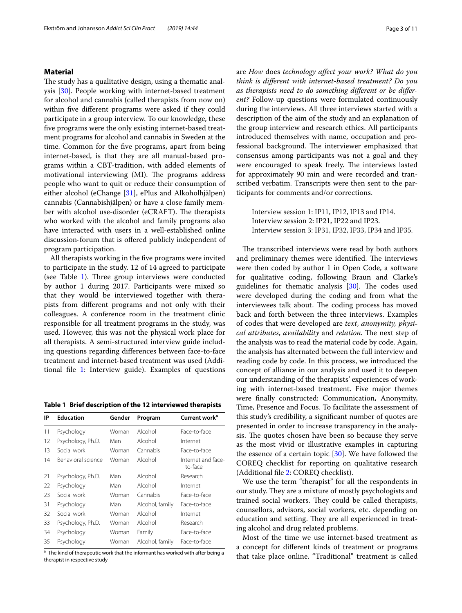#### **Material**

The study has a qualitative design, using a thematic analysis [\[30](#page-10-29)]. People working with internet-based treatment for alcohol and cannabis (called therapists from now on) within fve diferent programs were asked if they could participate in a group interview. To our knowledge, these fve programs were the only existing internet-based treatment programs for alcohol and cannabis in Sweden at the time. Common for the fve programs, apart from being internet-based, is that they are all manual-based programs within a CBT-tradition, with added elements of motivational interviewing (MI). The programs address people who want to quit or reduce their consumption of either alcohol (eChange [\[31](#page-10-30)], ePlus and Alkoholhjälpen) cannabis (Cannabishjälpen) or have a close family member with alcohol use-disorder (eCRAFT). The therapists who worked with the alcohol and family programs also have interacted with users in a well-established online discussion-forum that is ofered publicly independent of program participation.

All therapists working in the fve programs were invited to participate in the study. 12 of 14 agreed to participate (see Table  $1$ ). Three group interviews were conducted by author 1 during 2017. Participants were mixed so that they would be interviewed together with therapists from diferent programs and not only with their colleagues. A conference room in the treatment clinic responsible for all treatment programs in the study, was used. However, this was not the physical work place for all therapists. A semi-structured interview guide including questions regarding diferences between face-to-face treatment and internet-based treatment was used (Additional fle [1](#page-9-0): Interview guide). Examples of questions

<span id="page-2-0"></span>**Table 1 Brief description of the 12 interviewed therapists**

| IP | <b>Education</b>   | Gender | Program         | Current work <sup>a</sup>     |
|----|--------------------|--------|-----------------|-------------------------------|
| 11 | Psychology         | Woman  | Alcohol         | Face-to-face                  |
| 12 | Psychology, Ph.D.  | Man    | Alcohol         | Internet                      |
| 13 | Social work        | Woman  | Cannabis        | Face-to-face                  |
| 14 | Behavioral science | Woman  | Alcohol         | Internet and face-<br>to-face |
| 21 | Psychology, Ph.D.  | Man    | Alcohol         | Research                      |
| 22 | Psychology         | Man    | Alcohol         | Internet                      |
| 23 | Social work        | Woman  | Cannabis        | Face-to-face                  |
| 31 | Psychology         | Man    | Alcohol, family | Face-to-face                  |
| 32 | Social work        | Woman  | Alcohol         | Internet                      |
| 33 | Psychology, Ph.D.  | Woman  | Alcohol         | Research                      |
| 34 | Psychology         | Woman  | Family          | Face-to-face                  |
| 35 | Psychology         | Woman  | Alcohol, family | Face-to-face                  |

<sup>a</sup> The kind of therapeutic work that the informant has worked with after being a therapist in respective study

are *How* does *technology afect your work? What do you think is diferent with internet-based treatment? Do you as therapists need to do something diferent or be diferent?* Follow-up questions were formulated continuously during the interviews. All three interviews started with a description of the aim of the study and an explanation of the group interview and research ethics. All participants introduced themselves with name, occupation and professional background. The interviewer emphasized that consensus among participants was not a goal and they were encouraged to speak freely. The interviews lasted for approximately 90 min and were recorded and transcribed verbatim. Transcripts were then sent to the participants for comments and/or corrections.

Interview session 1: IP11, IP12, IP13 and IP14. Interview session 2: IP21, IP22 and IP23. Interview session 3: IP31, IP32, IP33, IP34 and IP35.

The transcribed interviews were read by both authors and preliminary themes were identified. The interviews were then coded by author 1 in Open Code, a software for qualitative coding, following Braun and Clarke's guidelines for thematic analysis  $[30]$  $[30]$ . The codes used were developed during the coding and from what the interviewees talk about. The coding process has moved back and forth between the three interviews. Examples of codes that were developed are *text*, *anonymity, physical attributes, availability* and *relation*. The next step of the analysis was to read the material code by code. Again, the analysis has alternated between the full interview and reading code by code. In this process, we introduced the concept of alliance in our analysis and used it to deepen our understanding of the therapists' experiences of working with internet-based treatment. Five major themes were fnally constructed: Communication, Anonymity, Time, Presence and Focus. To facilitate the assessment of this study's credibility, a signifcant number of quotes are presented in order to increase transparency in the analysis. The quotes chosen have been so because they serve as the most vivid or illustrative examples in capturing the essence of a certain topic [\[30\]](#page-10-29). We have followed the COREQ checklist for reporting on qualitative research (Additional fle [2](#page-9-1): COREQ checklist).

We use the term "therapist" for all the respondents in our study. They are a mixture of mostly psychologists and trained social workers. They could be called therapists, counsellors, advisors, social workers, etc. depending on education and setting. They are all experienced in treating alcohol and drug related problems.

Most of the time we use internet-based treatment as a concept for diferent kinds of treatment or programs that take place online. "Traditional" treatment is called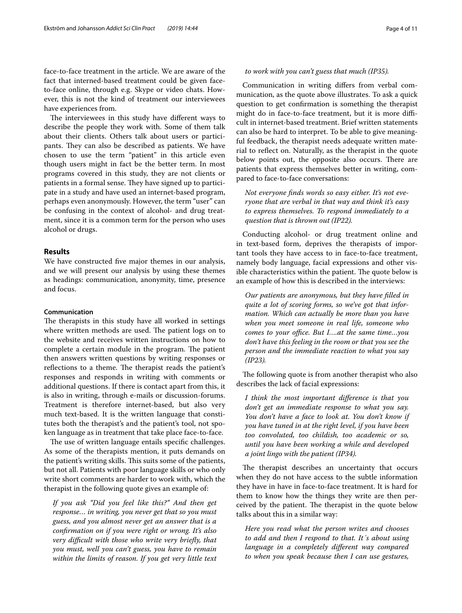face-to-face treatment in the article. We are aware of the fact that interned-based treatment could be given faceto-face online, through e.g. Skype or video chats. However, this is not the kind of treatment our interviewees have experiences from.

The interviewees in this study have different ways to describe the people they work with. Some of them talk about their clients. Others talk about users or participants. They can also be described as patients. We have chosen to use the term "patient" in this article even though users might in fact be the better term. In most programs covered in this study, they are not clients or patients in a formal sense. They have signed up to participate in a study and have used an internet-based program, perhaps even anonymously. However, the term "user" can be confusing in the context of alcohol- and drug treatment, since it is a common term for the person who uses alcohol or drugs.

#### **Results**

We have constructed fve major themes in our analysis, and we will present our analysis by using these themes as headings: communication, anonymity, time, presence and focus.

#### **Communication**

The therapists in this study have all worked in settings where written methods are used. The patient logs on to the website and receives written instructions on how to complete a certain module in the program. The patient then answers written questions by writing responses or reflections to a theme. The therapist reads the patient's responses and responds in writing with comments or additional questions. If there is contact apart from this, it is also in writing, through e-mails or discussion-forums. Treatment is therefore internet-based, but also very much text-based. It is the written language that constitutes both the therapist's and the patient's tool, not spoken language as in treatment that take place face-to-face.

The use of written language entails specific challenges. As some of the therapists mention, it puts demands on the patient's writing skills. This suits some of the patients, but not all. Patients with poor language skills or who only write short comments are harder to work with, which the therapist in the following quote gives an example of:

*If you ask "Did you feel like this?" And then get response… in writing, you never get that so you must guess, and you almost never get an answer that is a confrmation on if you were right or wrong. It's also very difcult with those who write very briefy, that you must, well you can't guess, you have to remain within the limits of reason. If you get very little text* 

#### *to work with you can't guess that much (IP35).*

Communication in writing difers from verbal communication, as the quote above illustrates. To ask a quick question to get confrmation is something the therapist might do in face-to-face treatment, but it is more difficult in internet-based treatment. Brief written statements can also be hard to interpret. To be able to give meaningful feedback, the therapist needs adequate written material to refect on. Naturally, as the therapist in the quote below points out, the opposite also occurs. There are patients that express themselves better in writing, compared to face-to-face conversations:

*Not everyone fnds words so easy either. It's not everyone that are verbal in that way and think it's easy to express themselves. To respond immediately to a question that is thrown out (IP22).*

Conducting alcohol- or drug treatment online and in text-based form, deprives the therapists of important tools they have access to in face-to-face treatment, namely body language, facial expressions and other visible characteristics within the patient. The quote below is an example of how this is described in the interviews:

*Our patients are anonymous, but they have flled in quite a lot of scoring forms, so we've got that information. Which can actually be more than you have when you meet someone in real life, someone who comes to your office. But I....at the same time...you don't have this feeling in the room or that you see the person and the immediate reaction to what you say (IP23).*

The following quote is from another therapist who also describes the lack of facial expressions:

*I think the most important diference is that you don't get an immediate response to what you say. You don't have a face to look at. You don't know if you have tuned in at the right level, if you have been too convoluted, too childish, too academic or so, until you have been working a while and developed a joint lingo with the patient (IP34).*

The therapist describes an uncertainty that occurs when they do not have access to the subtle information they have in have in face-to-face treatment. It is hard for them to know how the things they write are then perceived by the patient. The therapist in the quote below talks about this in a similar way:

*Here you read what the person writes and chooses to add and then I respond to that. It´s about using language in a completely different way compared to when you speak because then I can use gestures,*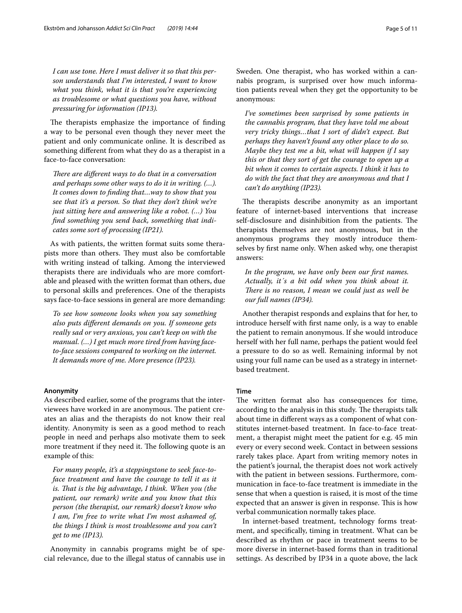*I can use tone. Here I must deliver it so that this person understands that I'm interested, I want to know what you think, what it is that you're experiencing as troublesome or what questions you have, without pressuring for information (IP13).*

The therapists emphasize the importance of finding a way to be personal even though they never meet the patient and only communicate online. It is described as something diferent from what they do as a therapist in a face-to-face conversation:

*There are different ways to do that in a conversation and perhaps some other ways to do it in writing. (…). It comes down to fnding that…way to show that you see that it's a person. So that they don't think we're just sitting here and answering like a robot. (…) You fnd something you send back, something that indicates some sort of processing (IP21).*

As with patients, the written format suits some therapists more than others. They must also be comfortable with writing instead of talking. Among the interviewed therapists there are individuals who are more comfortable and pleased with the written format than others, due to personal skills and preferences. One of the therapists says face-to-face sessions in general are more demanding:

*To see how someone looks when you say something also puts diferent demands on you. If someone gets really sad or very anxious, you can't keep on with the manual. (…) I get much more tired from having faceto-face sessions compared to working on the internet. It demands more of me. More presence (IP23).*

#### **Anonymity**

As described earlier, some of the programs that the interviewees have worked in are anonymous. The patient creates an alias and the therapists do not know their real identity. Anonymity is seen as a good method to reach people in need and perhaps also motivate them to seek more treatment if they need it. The following quote is an example of this:

*For many people, it's a steppingstone to seek face-toface treatment and have the courage to tell it as it is. Tat is the big advantage, I think. When you (the patient, our remark) write and you know that this person (the therapist, our remark) doesn't know who I am, I'm free to write what I'm most ashamed of, the things I think is most troublesome and you can't get to me (IP13).*

Anonymity in cannabis programs might be of special relevance, due to the illegal status of cannabis use in Sweden. One therapist, who has worked within a cannabis program, is surprised over how much information patients reveal when they get the opportunity to be anonymous:

*I've sometimes been surprised by some patients in the cannabis program, that they have told me about very tricky things…that I sort of didn't expect. But perhaps they haven't found any other place to do so. Maybe they test me a bit, what will happen if I say this or that they sort of get the courage to open up a bit when it comes to certain aspects. I think it has to do with the fact that they are anonymous and that I can't do anything (IP23).*

The therapists describe anonymity as an important feature of internet-based interventions that increase self-disclosure and disinhibition from the patients. The therapists themselves are not anonymous, but in the anonymous programs they mostly introduce themselves by frst name only. When asked why, one therapist answers:

*In the program, we have only been our frst names. Actually, it´s a bit odd when you think about it. There is no reason, I mean we could just as well be our full names (IP34).*

Another therapist responds and explains that for her, to introduce herself with frst name only, is a way to enable the patient to remain anonymous. If she would introduce herself with her full name, perhaps the patient would feel a pressure to do so as well. Remaining informal by not using your full name can be used as a strategy in internetbased treatment.

#### **Time**

The written format also has consequences for time, according to the analysis in this study. The therapists talk about time in diferent ways as a component of what constitutes internet-based treatment. In face-to-face treatment, a therapist might meet the patient for e.g. 45 min every or every second week. Contact in between sessions rarely takes place. Apart from writing memory notes in the patient's journal, the therapist does not work actively with the patient in between sessions. Furthermore, communication in face-to-face treatment is immediate in the sense that when a question is raised, it is most of the time expected that an answer is given in response. This is how verbal communication normally takes place.

In internet-based treatment, technology forms treatment, and specifcally, timing in treatment. What can be described as rhythm or pace in treatment seems to be more diverse in internet-based forms than in traditional settings. As described by IP34 in a quote above, the lack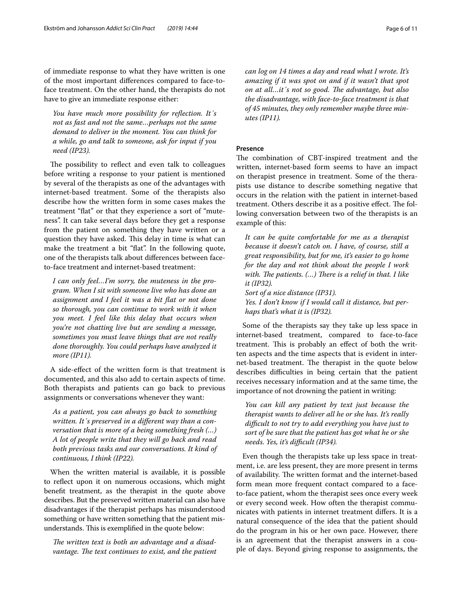of immediate response to what they have written is one of the most important diferences compared to face-toface treatment. On the other hand, the therapists do not have to give an immediate response either:

*You have much more possibility for refection. It´s not as fast and not the same…perhaps not the same demand to deliver in the moment. You can think for a while, go and talk to someone, ask for input if you need (IP23).*

The possibility to reflect and even talk to colleagues before writing a response to your patient is mentioned by several of the therapists as one of the advantages with internet-based treatment. Some of the therapists also describe how the written form in some cases makes the treatment "flat" or that they experience a sort of "muteness". It can take several days before they get a response from the patient on something they have written or a question they have asked. This delay in time is what can make the treatment a bit "fat". In the following quote, one of the therapists talk about diferences between faceto-face treatment and internet-based treatment:

*I can only feel…I'm sorry, the muteness in the program. When I sit with someone live who has done an assignment and I feel it was a bit fat or not done so thorough, you can continue to work with it when you meet. I feel like this delay that occurs when you're not chatting live but are sending a message, sometimes you must leave things that are not really done thoroughly. You could perhaps have analyzed it more (IP11).*

A side-efect of the written form is that treatment is documented, and this also add to certain aspects of time. Both therapists and patients can go back to previous assignments or conversations whenever they want:

*As a patient, you can always go back to something written. It´s preserved in a diferent way than a conversation that is more of a being something fresh (…) A lot of people write that they will go back and read both previous tasks and our conversations. It kind of continuous, I think (IP22).*

When the written material is available, it is possible to refect upon it on numerous occasions, which might beneft treatment, as the therapist in the quote above describes. But the preserved written material can also have disadvantages if the therapist perhaps has misunderstood something or have written something that the patient misunderstands. This is exemplified in the quote below:

The written text is both an advantage and a disad*vantage. The text continues to exist, and the patient*  *can log on 14 times a day and read what I wrote. It's amazing if it was spot on and if it wasn't that spot on at all...it's not so good. The advantage, but also the disadvantage, with face-to-face treatment is that of 45 minutes, they only remember maybe three minutes (IP11).*

#### **Presence**

The combination of CBT-inspired treatment and the written, internet-based form seems to have an impact on therapist presence in treatment. Some of the therapists use distance to describe something negative that occurs in the relation with the patient in internet-based treatment. Others describe it as a positive effect. The following conversation between two of the therapists is an example of this:

*It can be quite comfortable for me as a therapist because it doesn't catch on. I have, of course, still a great responsibility, but for me, it's easier to go home for the day and not think about the people I work*  with. The patients. (...) There is a relief in that. I like *it (IP32).*

*Sort of a nice distance (IP31). Yes. I don't know if I would call it distance, but perhaps that's what it is (IP32).*

Some of the therapists say they take up less space in internet-based treatment, compared to face-to-face treatment. This is probably an effect of both the written aspects and the time aspects that is evident in internet-based treatment. The therapist in the quote below describes difficulties in being certain that the patient receives necessary information and at the same time, the importance of not drowning the patient in writing:

*You can kill any patient by text just because the therapist wants to deliver all he or she has. It's really difcult to not try to add everything you have just to sort of be sure that the patient has got what he or she needs. Yes, it's difcult (IP34).*

Even though the therapists take up less space in treatment, i.e. are less present, they are more present in terms of availability. The written format and the internet-based form mean more frequent contact compared to a faceto-face patient, whom the therapist sees once every week or every second week. How often the therapist communicates with patients in internet treatment difers. It is a natural consequence of the idea that the patient should do the program in his or her own pace. However, there is an agreement that the therapist answers in a couple of days. Beyond giving response to assignments, the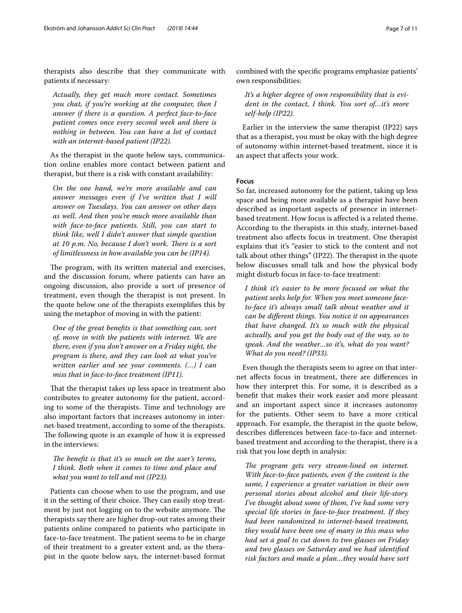therapists also describe that they communicate with patients if necessary:

*Actually, they get much more contact. Sometimes you chat, if you're working at the computer, then I answer if there is a question. A perfect face-to-face patient comes once every second week and there is nothing in between. You can have a lot of contact with an internet-based patient (IP22).*

As the therapist in the quote below says, communication online enables more contact between patient and therapist, but there is a risk with constant availability:

*On the one hand, we're more available and can answer messages even if I've written that I will answer on Tuesdays. You can answer on other days as well. And then you're much more available than with face-to-face patients. Still, you can start to think like, well I didn't answer that simple question*  at 10 p.m. No, because I don't work. There is a sort *of limitlessness in how available you can be (IP14).*

The program, with its written material and exercises, and the discussion forum, where patients can have an ongoing discussion, also provide a sort of presence of treatment, even though the therapist is not present. In the quote below one of the therapists exemplifes this by using the metaphor of moving in with the patient:

*One of the great benefts is that something can, sort of, move in with the patients with internet. We are there, even if you don't answer on a Friday night, the program is there, and they can look at what you've written earlier and see your comments. (…) I can miss that in face-to-face treatment (IP11).*

That the therapist takes up less space in treatment also contributes to greater autonomy for the patient, according to some of the therapists. Time and technology are also important factors that increases autonomy in internet-based treatment, according to some of the therapists. The following quote is an example of how it is expressed in the interviews:

The benefit is that it's so much on the user's terms, *I think. Both when it comes to time and place and what you want to tell and not (IP23).*

Patients can choose when to use the program, and use it in the setting of their choice. They can easily stop treatment by just not logging on to the website anymore. The therapists say there are higher drop-out rates among their patients online compared to patients who participate in face-to-face treatment. The patient seems to be in charge of their treatment to a greater extent and, as the therapist in the quote below says, the internet-based format

combined with the specifc programs emphasize patients' own responsibilities:

*It's a higher degree of own responsibility that is evident in the contact, I think. You sort of…it's more self-help (IP22).*

Earlier in the interview the same therapist (IP22) says that as a therapist, you must be okay with the high degree of autonomy within internet-based treatment, since it is an aspect that afects your work.

#### **Focus**

So far, increased autonomy for the patient, taking up less space and being more available as a therapist have been described as important aspects of presence in internetbased treatment. How focus is afected is a related theme. According to the therapists in this study, internet-based treatment also afects focus in treatment. One therapist explains that it's "easier to stick to the content and not talk about other things" (IP22). The therapist in the quote below discusses small talk and how the physical body might disturb focus in face-to-face treatment:

*I think it's easier to be more focused on what the patient seeks help for. When you meet someone faceto-face it's always small talk about weather and it can be diferent things. You notice it on appearances that have changed. It's so much with the physical actually, and you get the body out of the way, so to speak. And the weather…so it's, what do you want? What do you need? (IP33).*

Even though the therapists seem to agree on that internet afects focus in treatment, there are diferences in how they interpret this. For some, it is described as a beneft that makes their work easier and more pleasant and an important aspect since it increases autonomy for the patients. Other seem to have a more critical approach. For example, the therapist in the quote below, describes diferences between face-to-face and internetbased treatment and according to the therapist, there is a risk that you lose depth in analysis:

The program gets very stream-lined on internet. *With face-to-face patients, even if the content is the same, I experience a greater variation in their own personal stories about alcohol and their life-story. I've thought about some of them, I've had some very special life stories in face-to-face treatment. If they had been randomized to internet-based treatment, they would have been one of many in this mass who had set a goal to cut down to two glasses on Friday and two glasses on Saturday and we had identifed risk factors and made a plan…they would have sort*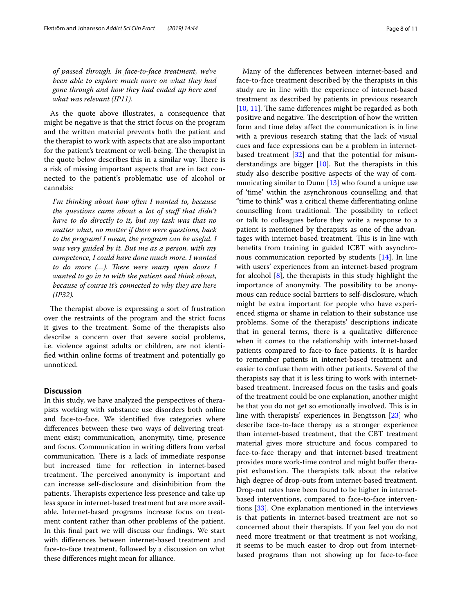*of passed through. In face-to-face treatment, we've been able to explore much more on what they had gone through and how they had ended up here and what was relevant (IP11).*

As the quote above illustrates, a consequence that might be negative is that the strict focus on the program and the written material prevents both the patient and the therapist to work with aspects that are also important for the patient's treatment or well-being. The therapist in the quote below describes this in a similar way. There is a risk of missing important aspects that are in fact connected to the patient's problematic use of alcohol or cannabis:

*I'm thinking about how often I wanted to, because the questions came about a lot of stuf that didn't have to do directly to it, but my task was that no matter what, no matter if there were questions, back to the program! I mean, the program can be useful. I was very guided by it. But me as a person, with my competence, I could have done much more. I wanted to do more (...). There were many open doors I wanted to go in to with the patient and think about, because of course it's connected to why they are here (IP32).*

The therapist above is expressing a sort of frustration over the restraints of the program and the strict focus it gives to the treatment. Some of the therapists also describe a concern over that severe social problems, i.e. violence against adults or children, are not identifed within online forms of treatment and potentially go unnoticed.

#### **Discussion**

In this study, we have analyzed the perspectives of therapists working with substance use disorders both online and face-to-face. We identifed fve categories where diferences between these two ways of delivering treatment exist; communication, anonymity, time, presence and focus. Communication in writing difers from verbal communication. There is a lack of immediate response but increased time for refection in internet-based treatment. The perceived anonymity is important and can increase self-disclosure and disinhibition from the patients. Therapists experience less presence and take up less space in internet-based treatment but are more available. Internet-based programs increase focus on treatment content rather than other problems of the patient. In this fnal part we will discuss our fndings. We start with diferences between internet-based treatment and face-to-face treatment, followed by a discussion on what these diferences might mean for alliance.

Many of the diferences between internet-based and face-to-face treatment described by the therapists in this study are in line with the experience of internet-based treatment as described by patients in previous research  $[10, 11]$  $[10, 11]$  $[10, 11]$  $[10, 11]$ . The same differences might be regarded as both positive and negative. The description of how the written form and time delay afect the communication is in line with a previous research stating that the lack of visual cues and face expressions can be a problem in internetbased treatment [[32\]](#page-10-31) and that the potential for misunderstandings are bigger [\[10](#page-10-9)]. But the therapists in this study also describe positive aspects of the way of communicating similar to Dunn [[13](#page-10-12)] who found a unique use of 'time' within the asynchronous counselling and that "time to think" was a critical theme diferentiating online counselling from traditional. The possibility to reflect or talk to colleagues before they write a response to a patient is mentioned by therapists as one of the advantages with internet-based treatment. This is in line with benefts from training in guided ICBT with asynchronous communication reported by students [[14\]](#page-10-13). In line with users' experiences from an internet-based program for alcohol [\[8](#page-10-7)], the therapists in this study highlight the importance of anonymity. The possibility to be anonymous can reduce social barriers to self-disclosure, which might be extra important for people who have experienced stigma or shame in relation to their substance use problems. Some of the therapists' descriptions indicate that in general terms, there is a qualitative diference when it comes to the relationship with internet-based patients compared to face-to face patients. It is harder to remember patients in internet-based treatment and easier to confuse them with other patients. Several of the therapists say that it is less tiring to work with internetbased treatment. Increased focus on the tasks and goals of the treatment could be one explanation, another might be that you do not get so emotionally involved. This is in line with therapists' experiences in Bengtsson [\[23](#page-10-21)] who describe face-to-face therapy as a stronger experience than internet-based treatment, that the CBT treatment material gives more structure and focus compared to face-to-face therapy and that internet-based treatment provides more work-time control and might bufer therapist exhaustion. The therapists talk about the relative high degree of drop-outs from internet-based treatment. Drop-out rates have been found to be higher in internetbased interventions, compared to face-to-face interventions [\[33](#page-10-32)]. One explanation mentioned in the interviews is that patients in internet-based treatment are not so concerned about their therapists. If you feel you do not need more treatment or that treatment is not working, it seems to be much easier to drop out from internetbased programs than not showing up for face-to-face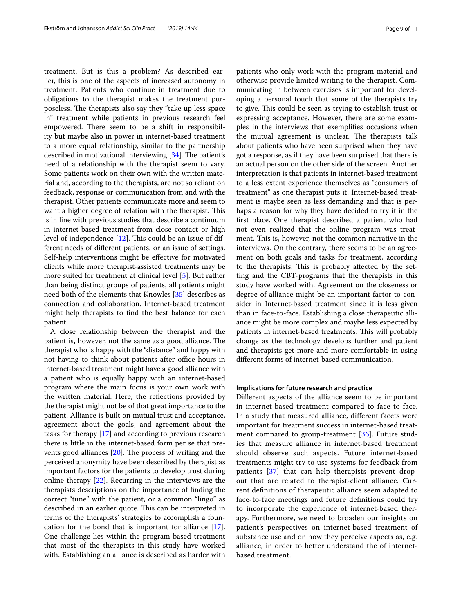treatment. But is this a problem? As described earlier, this is one of the aspects of increased autonomy in treatment. Patients who continue in treatment due to obligations to the therapist makes the treatment purposeless. The therapists also say they "take up less space in" treatment while patients in previous research feel empowered. There seem to be a shift in responsibility but maybe also in power in internet-based treatment to a more equal relationship, similar to the partnership described in motivational interviewing  $[34]$  $[34]$ . The patient's need of a relationship with the therapist seem to vary. Some patients work on their own with the written material and, according to the therapists, are not so reliant on feedback, response or communication from and with the therapist. Other patients communicate more and seem to want a higher degree of relation with the therapist. This is in line with previous studies that describe a continuum in internet-based treatment from close contact or high level of independence  $[12]$  $[12]$  $[12]$ . This could be an issue of different needs of diferent patients, or an issue of settings. Self-help interventions might be efective for motivated clients while more therapist-assisted treatments may be more suited for treatment at clinical level [[5\]](#page-10-4). But rather than being distinct groups of patients, all patients might need both of the elements that Knowles [[35\]](#page-10-34) describes as connection and collaboration. Internet-based treatment might help therapists to fnd the best balance for each patient.

A close relationship between the therapist and the patient is, however, not the same as a good alliance. The therapist who is happy with the "distance" and happy with not having to think about patients after office hours in internet-based treatment might have a good alliance with a patient who is equally happy with an internet-based program where the main focus is your own work with the written material. Here, the refections provided by the therapist might not be of that great importance to the patient. Alliance is built on mutual trust and acceptance, agreement about the goals, and agreement about the tasks for therapy [[17\]](#page-10-16) and according to previous research there is little in the internet-based form per se that prevents good alliances  $[20]$  $[20]$  $[20]$ . The process of writing and the perceived anonymity have been described by therapist as important factors for the patients to develop trust during online therapy [[22\]](#page-10-20). Recurring in the interviews are the therapists descriptions on the importance of fnding the correct "tune" with the patient, or a common "lingo" as described in an earlier quote. This can be interpreted in terms of the therapists' strategies to accomplish a foundation for the bond that is important for alliance [\[17](#page-10-16)]. One challenge lies within the program-based treatment that most of the therapists in this study have worked with. Establishing an alliance is described as harder with patients who only work with the program-material and otherwise provide limited writing to the therapist. Communicating in between exercises is important for developing a personal touch that some of the therapists try to give. This could be seen as trying to establish trust or expressing acceptance. However, there are some examples in the interviews that exemplifes occasions when the mutual agreement is unclear. The therapists talk about patients who have been surprised when they have got a response, as if they have been surprised that there is an actual person on the other side of the screen. Another interpretation is that patients in internet-based treatment to a less extent experience themselves as "consumers of treatment" as one therapist puts it. Internet-based treatment is maybe seen as less demanding and that is perhaps a reason for why they have decided to try it in the frst place. One therapist described a patient who had not even realized that the online program was treatment. This is, however, not the common narrative in the interviews. On the contrary, there seems to be an agreement on both goals and tasks for treatment, according to the therapists. This is probably affected by the setting and the CBT-programs that the therapists in this study have worked with. Agreement on the closeness or degree of alliance might be an important factor to consider in Internet-based treatment since it is less given than in face-to-face. Establishing a close therapeutic alliance might be more complex and maybe less expected by patients in internet-based treatments. This will probably change as the technology develops further and patient and therapists get more and more comfortable in using diferent forms of internet-based communication.

#### **Implications for future research and practice**

Diferent aspects of the alliance seem to be important in internet-based treatment compared to face-to-face. In a study that measured alliance, diferent facets were important for treatment success in internet-based treatment compared to group-treatment [[36](#page-10-35)]. Future studies that measure alliance in internet-based treatment should observe such aspects. Future internet-based treatments might try to use systems for feedback from patients [[37](#page-10-36)] that can help therapists prevent dropout that are related to therapist-client alliance. Current defnitions of therapeutic alliance seem adapted to face-to-face meetings and future defnitions could try to incorporate the experience of internet-based therapy. Furthermore, we need to broaden our insights on patient's perspectives on internet-based treatment of substance use and on how they perceive aspects as, e.g. alliance, in order to better understand the of internetbased treatment.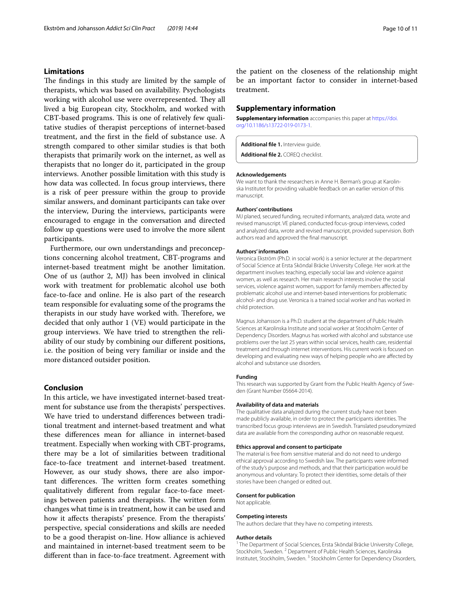#### **Limitations**

The findings in this study are limited by the sample of therapists, which was based on availability. Psychologists working with alcohol use were overrepresented. They all lived a big European city, Stockholm, and worked with CBT-based programs. This is one of relatively few qualitative studies of therapist perceptions of internet-based treatment, and the frst in the feld of substance use. A strength compared to other similar studies is that both therapists that primarily work on the internet, as well as therapists that no longer do it, participated in the group interviews. Another possible limitation with this study is how data was collected. In focus group interviews, there is a risk of peer pressure within the group to provide similar answers, and dominant participants can take over the interview, During the interviews, participants were encouraged to engage in the conversation and directed follow up questions were used to involve the more silent participants.

Furthermore, our own understandings and preconceptions concerning alcohol treatment, CBT-programs and internet-based treatment might be another limitation. One of us (author 2, MJ) has been involved in clinical work with treatment for problematic alcohol use both face-to-face and online. He is also part of the research team responsible for evaluating some of the programs the therapists in our study have worked with. Therefore, we decided that only author 1 (VE) would participate in the group interviews. We have tried to strengthen the reliability of our study by combining our diferent positions, i.e. the position of being very familiar or inside and the more distanced outsider position.

#### **Conclusion**

In this article, we have investigated internet-based treatment for substance use from the therapists' perspectives. We have tried to understand diferences between traditional treatment and internet-based treatment and what these diferences mean for alliance in internet-based treatment. Especially when working with CBT-programs, there may be a lot of similarities between traditional face-to-face treatment and internet-based treatment. However, as our study shows, there are also important differences. The written form creates something qualitatively diferent from regular face-to-face meetings between patients and therapists. The written form changes what time is in treatment, how it can be used and how it afects therapists' presence. From the therapists' perspective, special considerations and skills are needed to be a good therapist on-line. How alliance is achieved and maintained in internet-based treatment seem to be diferent than in face-to-face treatment. Agreement with

the patient on the closeness of the relationship might be an important factor to consider in internet-based treatment.

#### **Supplementary information**

**Supplementary information** accompanies this paper at [https://doi.](https://doi.org/10.1186/s13722-019-0173-1) [org/10.1186/s13722-019-0173-1.](https://doi.org/10.1186/s13722-019-0173-1)

#### <span id="page-9-0"></span>**Additional fle 1.** Interview guide.

<span id="page-9-1"></span>**Additional fle 2.** COREQ checklist.

#### **Acknowledgements**

We want to thank the researchers in Anne H. Berman's group at Karolinska Institutet for providing valuable feedback on an earlier version of this manuscript.

#### **Authors' contributions**

MJ planed, secured funding, recruited informants, analyzed data, wrote and revised manuscript. VE planed, conducted focus-group interviews, coded and analyzed data, wrote and revised manuscript, provided supervision. Both authors read and approved the fnal manuscript.

#### **Authors' information**

Veronica Ekström (Ph.D. in social work) is a senior lecturer at the department of Social Science at Ersta Sköndal Bräcke University College. Her work at the department involves teaching, especially social law and violence against women, as well as research. Her main research interests involve the social services, violence against women, support for family members afected by problematic alcohol use and internet-based interventions for problematic alcohol- and drug use. Veronica is a trained social worker and has worked in child protection.

Magnus Johansson is a Ph.D. student at the department of Public Health Sciences at Karolinska Institute and social worker at Stockholm Center of Dependency Disorders. Magnus has worked with alcohol and substance use problems over the last 25 years within social services, health care, residential treatment and through internet interventions. His current work is focused on developing and evaluating new ways of helping people who are afected by alcohol and substance use disorders.

#### **Funding**

This research was supported by Grant from the Public Health Agency of Sweden (Grant Number 05664-2014).

#### **Availability of data and materials**

The qualitative data analyzed during the current study have not been made publicly available, in order to protect the participants identities. The transcribed focus group interviews are in Swedish. Translated pseudonymized data are available from the corresponding author on reasonable request.

#### **Ethics approval and consent to participate**

The material is free from sensitive material and do not need to undergo ethical approval according to Swedish law. The participants were informed of the study's purpose and methods, and that their participation would be anonymous and voluntary. To protect their identities, some details of their stories have been changed or edited out.

#### **Consent for publication**

Not applicable.

#### **Competing interests**

The authors declare that they have no competing interests.

#### **Author details**

<sup>1</sup> The Department of Social Sciences, Ersta Sköndal Bräcke University College, Stockholm, Sweden. <sup>2</sup> Department of Public Health Sciences, Karolinska Institutet, Stockholm, Sweden. 3 Stockholm Center for Dependency Disorders,